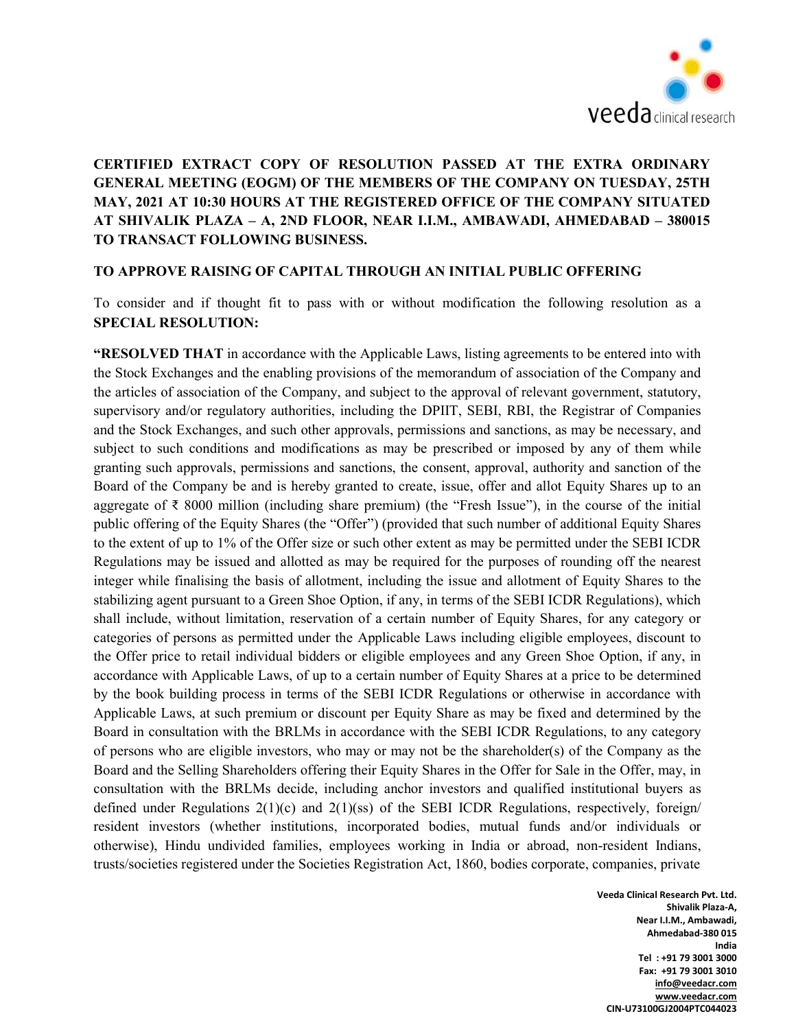

## CERTIFIED EXTRACT COPY OF RESOLUTION PASSED AT THE EXTRA ORDINARY GENERAL MEETING (EOGM) OF THE MEMBERS OF THE COMPANY ON TUESDAY, 25TH MAY, 2021 AT 10:30 HOURS AT THE REGISTERED OFFICE OF THE COMPANY SITUATED AT SHIVALIK PLAZA – A, 2ND FLOOR, NEAR I.I.M., AMBAWADI, AHMEDABAD – 380015 TO TRANSACT FOLLOWING BUSINESS.

## TO APPROVE RAISING OF CAPITAL THROUGH AN INITIAL PUBLIC OFFERING

To consider and if thought fit to pass with or without modification the following resolution as a SPECIAL RESOLUTION:

"RESOLVED THAT in accordance with the Applicable Laws, listing agreements to be entered into with the Stock Exchanges and the enabling provisions of the memorandum of association of the Company and the articles of association of the Company, and subject to the approval of relevant government, statutory, supervisory and/or regulatory authorities, including the DPIIT, SEBI, RBI, the Registrar of Companies and the Stock Exchanges, and such other approvals, permissions and sanctions, as may be necessary, and subject to such conditions and modifications as may be prescribed or imposed by any of them while granting such approvals, permissions and sanctions, the consent, approval, authority and sanction of the Board of the Company be and is hereby granted to create, issue, offer and allot Equity Shares up to an aggregate of ₹ 8000 million (including share premium) (the "Fresh Issue"), in the course of the initial public offering of the Equity Shares (the "Offer") (provided that such number of additional Equity Shares to the extent of up to 1% of the Offer size or such other extent as may be permitted under the SEBI ICDR Regulations may be issued and allotted as may be required for the purposes of rounding off the nearest integer while finalising the basis of allotment, including the issue and allotment of Equity Shares to the stabilizing agent pursuant to a Green Shoe Option, if any, in terms of the SEBI ICDR Regulations), which shall include, without limitation, reservation of a certain number of Equity Shares, for any category or categories of persons as permitted under the Applicable Laws including eligible employees, discount to the Offer price to retail individual bidders or eligible employees and any Green Shoe Option, if any, in accordance with Applicable Laws, of up to a certain number of Equity Shares at a price to be determined by the book building process in terms of the SEBI ICDR Regulations or otherwise in accordance with Applicable Laws, at such premium or discount per Equity Share as may be fixed and determined by the Board in consultation with the BRLMs in accordance with the SEBI ICDR Regulations, to any category of persons who are eligible investors, who may or may not be the shareholder(s) of the Company as the Board and the Selling Shareholders offering their Equity Shares in the Offer for Sale in the Offer, may, in consultation with the BRLMs decide, including anchor investors and qualified institutional buyers as defined under Regulations 2(1)(c) and 2(1)(ss) of the SEBI ICDR Regulations, respectively, foreign/ resident investors (whether institutions, incorporated bodies, mutual funds and/or individuals or otherwise), Hindu undivided families, employees working in India or abroad, non-resident Indians, trusts/societies registered under the Societies Registration Act, 1860, bodies corporate, companies, private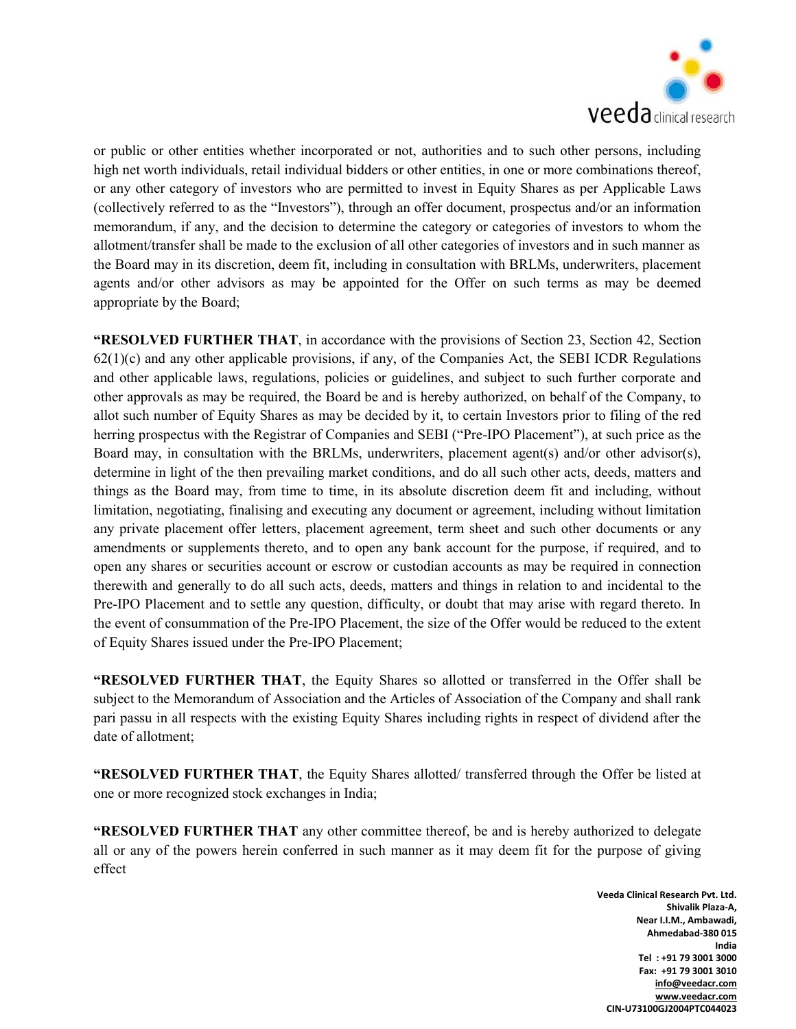

or public or other entities whether incorporated or not, authorities and to such other persons, including high net worth individuals, retail individual bidders or other entities, in one or more combinations thereof, or any other category of investors who are permitted to invest in Equity Shares as per Applicable Laws (collectively referred to as the "Investors"), through an offer document, prospectus and/or an information memorandum, if any, and the decision to determine the category or categories of investors to whom the allotment/transfer shall be made to the exclusion of all other categories of investors and in such manner as the Board may in its discretion, deem fit, including in consultation with BRLMs, underwriters, placement agents and/or other advisors as may be appointed for the Offer on such terms as may be deemed appropriate by the Board;

"RESOLVED FURTHER THAT, in accordance with the provisions of Section 23, Section 42, Section  $62(1)(c)$  and any other applicable provisions, if any, of the Companies Act, the SEBI ICDR Regulations and other applicable laws, regulations, policies or guidelines, and subject to such further corporate and other approvals as may be required, the Board be and is hereby authorized, on behalf of the Company, to allot such number of Equity Shares as may be decided by it, to certain Investors prior to filing of the red herring prospectus with the Registrar of Companies and SEBI ("Pre-IPO Placement"), at such price as the Board may, in consultation with the BRLMs, underwriters, placement agent(s) and/or other advisor(s), determine in light of the then prevailing market conditions, and do all such other acts, deeds, matters and things as the Board may, from time to time, in its absolute discretion deem fit and including, without limitation, negotiating, finalising and executing any document or agreement, including without limitation any private placement offer letters, placement agreement, term sheet and such other documents or any amendments or supplements thereto, and to open any bank account for the purpose, if required, and to open any shares or securities account or escrow or custodian accounts as may be required in connection therewith and generally to do all such acts, deeds, matters and things in relation to and incidental to the Pre-IPO Placement and to settle any question, difficulty, or doubt that may arise with regard thereto. In the event of consummation of the Pre-IPO Placement, the size of the Offer would be reduced to the extent of Equity Shares issued under the Pre-IPO Placement;

"RESOLVED FURTHER THAT, the Equity Shares so allotted or transferred in the Offer shall be subject to the Memorandum of Association and the Articles of Association of the Company and shall rank pari passu in all respects with the existing Equity Shares including rights in respect of dividend after the date of allotment;

"RESOLVED FURTHER THAT, the Equity Shares allotted/ transferred through the Offer be listed at one or more recognized stock exchanges in India;

"RESOLVED FURTHER THAT any other committee thereof, be and is hereby authorized to delegate all or any of the powers herein conferred in such manner as it may deem fit for the purpose of giving effect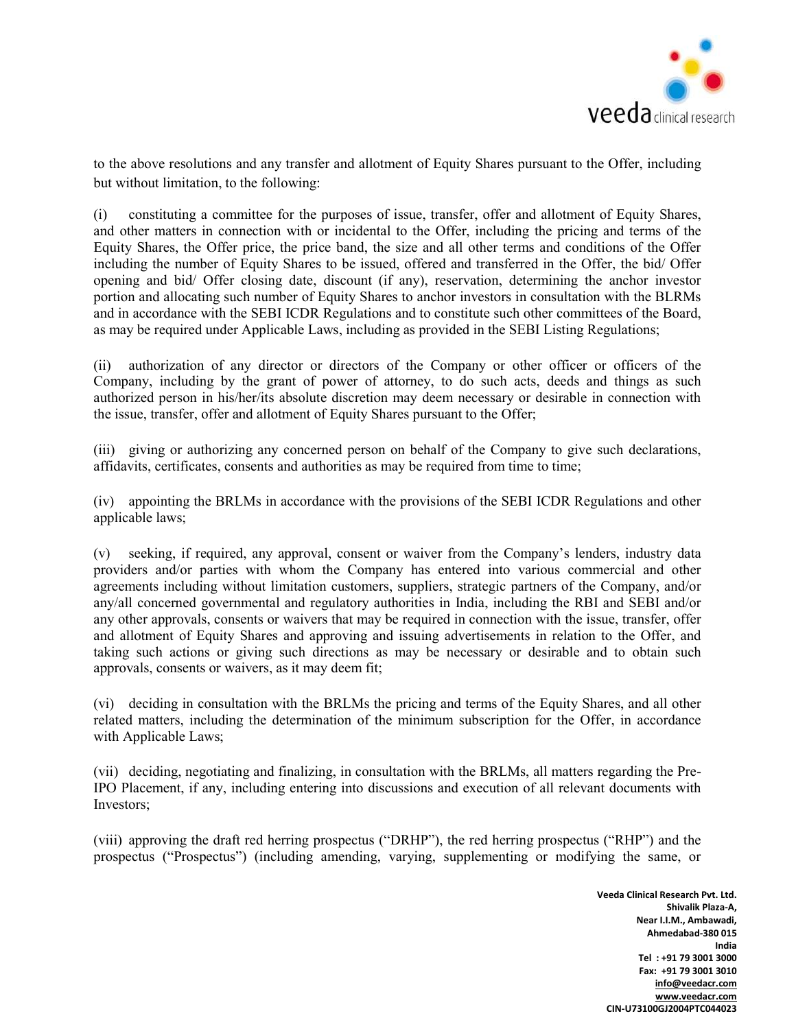

to the above resolutions and any transfer and allotment of Equity Shares pursuant to the Offer, including but without limitation, to the following:

(i) constituting a committee for the purposes of issue, transfer, offer and allotment of Equity Shares, and other matters in connection with or incidental to the Offer, including the pricing and terms of the Equity Shares, the Offer price, the price band, the size and all other terms and conditions of the Offer including the number of Equity Shares to be issued, offered and transferred in the Offer, the bid/ Offer opening and bid/ Offer closing date, discount (if any), reservation, determining the anchor investor portion and allocating such number of Equity Shares to anchor investors in consultation with the BLRMs and in accordance with the SEBI ICDR Regulations and to constitute such other committees of the Board, as may be required under Applicable Laws, including as provided in the SEBI Listing Regulations;

(ii) authorization of any director or directors of the Company or other officer or officers of the Company, including by the grant of power of attorney, to do such acts, deeds and things as such authorized person in his/her/its absolute discretion may deem necessary or desirable in connection with the issue, transfer, offer and allotment of Equity Shares pursuant to the Offer;

(iii) giving or authorizing any concerned person on behalf of the Company to give such declarations, affidavits, certificates, consents and authorities as may be required from time to time;

(iv) appointing the BRLMs in accordance with the provisions of the SEBI ICDR Regulations and other applicable laws;

(v) seeking, if required, any approval, consent or waiver from the Company's lenders, industry data providers and/or parties with whom the Company has entered into various commercial and other agreements including without limitation customers, suppliers, strategic partners of the Company, and/or any/all concerned governmental and regulatory authorities in India, including the RBI and SEBI and/or any other approvals, consents or waivers that may be required in connection with the issue, transfer, offer and allotment of Equity Shares and approving and issuing advertisements in relation to the Offer, and taking such actions or giving such directions as may be necessary or desirable and to obtain such approvals, consents or waivers, as it may deem fit;

(vi) deciding in consultation with the BRLMs the pricing and terms of the Equity Shares, and all other related matters, including the determination of the minimum subscription for the Offer, in accordance with Applicable Laws;

(vii) deciding, negotiating and finalizing, in consultation with the BRLMs, all matters regarding the Pre-IPO Placement, if any, including entering into discussions and execution of all relevant documents with Investors;

(viii) approving the draft red herring prospectus ("DRHP"), the red herring prospectus ("RHP") and the prospectus ("Prospectus") (including amending, varying, supplementing or modifying the same, or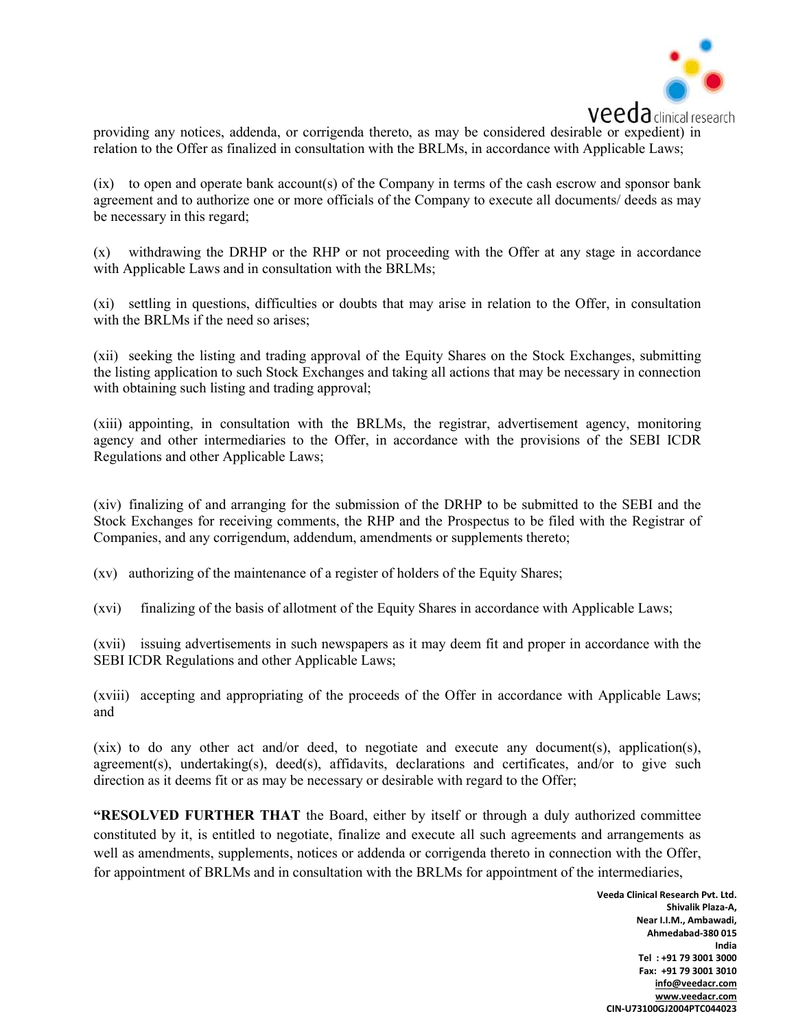

providing any notices, addenda, or corrigenda thereto, as may be considered desirable or expedient) in relation to the Offer as finalized in consultation with the BRLMs, in accordance with Applicable Laws;

(ix) to open and operate bank account(s) of the Company in terms of the cash escrow and sponsor bank agreement and to authorize one or more officials of the Company to execute all documents/ deeds as may be necessary in this regard;

(x) withdrawing the DRHP or the RHP or not proceeding with the Offer at any stage in accordance with Applicable Laws and in consultation with the BRLMs;

(xi) settling in questions, difficulties or doubts that may arise in relation to the Offer, in consultation with the BRLMs if the need so arises:

(xii) seeking the listing and trading approval of the Equity Shares on the Stock Exchanges, submitting the listing application to such Stock Exchanges and taking all actions that may be necessary in connection with obtaining such listing and trading approval;

(xiii) appointing, in consultation with the BRLMs, the registrar, advertisement agency, monitoring agency and other intermediaries to the Offer, in accordance with the provisions of the SEBI ICDR Regulations and other Applicable Laws;

(xiv) finalizing of and arranging for the submission of the DRHP to be submitted to the SEBI and the Stock Exchanges for receiving comments, the RHP and the Prospectus to be filed with the Registrar of Companies, and any corrigendum, addendum, amendments or supplements thereto;

(xv) authorizing of the maintenance of a register of holders of the Equity Shares;

(xvi) finalizing of the basis of allotment of the Equity Shares in accordance with Applicable Laws;

(xvii) issuing advertisements in such newspapers as it may deem fit and proper in accordance with the SEBI ICDR Regulations and other Applicable Laws;

(xviii) accepting and appropriating of the proceeds of the Offer in accordance with Applicable Laws; and

(xix) to do any other act and/or deed, to negotiate and execute any document(s), application(s), agreement(s), undertaking(s), deed(s), affidavits, declarations and certificates, and/or to give such direction as it deems fit or as may be necessary or desirable with regard to the Offer;

"RESOLVED FURTHER THAT the Board, either by itself or through a duly authorized committee constituted by it, is entitled to negotiate, finalize and execute all such agreements and arrangements as well as amendments, supplements, notices or addenda or corrigenda thereto in connection with the Offer, for appointment of BRLMs and in consultation with the BRLMs for appointment of the intermediaries,